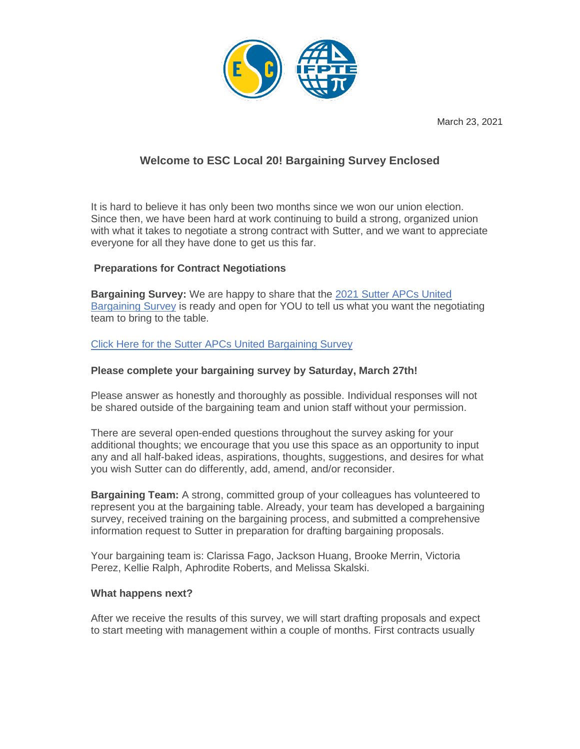

March 23, 2021

# **Welcome to ESC Local 20! Bargaining Survey Enclosed**

It is hard to believe it has only been two months since we won our union election. Since then, we have been hard at work continuing to build a strong, organized union with what it takes to negotiate a strong contract with Sutter, and we want to appreciate everyone for all they have done to get us this far.

## **Preparations for Contract Negotiations**

**Bargaining Survey:** We are happy to share that the 2021 Sutter APCs United Bargaining Survey is ready and open for YOU to tell us what you want the negotiating team to bring to the table.

## Click Here for the Sutter APCs United Bargaining Survey

### **Please complete your bargaining survey by Saturday, March 27th!**

Please answer as honestly and thoroughly as possible. Individual responses will not be shared outside of the bargaining team and union staff without your permission.

There are several open-ended questions throughout the survey asking for your additional thoughts; we encourage that you use this space as an opportunity to input any and all half-baked ideas, aspirations, thoughts, suggestions, and desires for what you wish Sutter can do differently, add, amend, and/or reconsider.

**Bargaining Team:** A strong, committed group of your colleagues has volunteered to represent you at the bargaining table. Already, your team has developed a bargaining survey, received training on the bargaining process, and submitted a comprehensive information request to Sutter in preparation for drafting bargaining proposals.

Your bargaining team is: Clarissa Fago, Jackson Huang, Brooke Merrin, Victoria Perez, Kellie Ralph, Aphrodite Roberts, and Melissa Skalski.

#### **What happens next?**

After we receive the results of this survey, we will start drafting proposals and expect to start meeting with management within a couple of months. First contracts usually